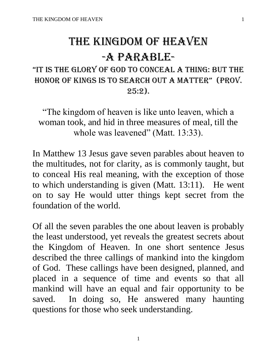# THE KINGDOM OF HEAVEN -A PARABLE-

# "It Is the glory of god to conceal a thIng: but the honor of kIngs Is to search out a matter" (Prov.  $25:2$ .

"The kingdom of heaven is like unto leaven, which a woman took, and hid in three measures of meal, till the whole was leavened" (Matt. 13:33).

In Matthew 13 Jesus gave seven parables about heaven to the multitudes, not for clarity, as is commonly taught, but to conceal His real meaning, with the exception of those to which understanding is given (Matt. 13:11). He went on to say He would utter things kept secret from the foundation of the world.

Of all the seven parables the one about leaven is probably the least understood, yet reveals the greatest secrets about the Kingdom of Heaven. In one short sentence Jesus described the three callings of mankind into the kingdom of God. These callings have been designed, planned, and placed in a sequence of time and events so that all mankind will have an equal and fair opportunity to be saved. In doing so, He answered many haunting questions for those who seek understanding.

1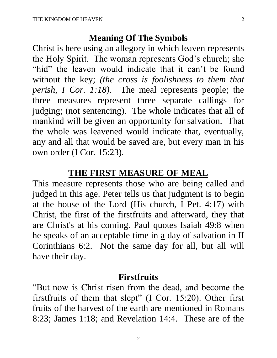# **Meaning Of The Symbols**

Christ is here using an allegory in which leaven represents the Holy Spirit. The woman represents God's church; she "hid" the leaven would indicate that it can't be found without the key; *(the cross is foolishness to them that perish, I Cor. 1:18)*. The meal represents people; the three measures represent three separate callings for judging; (not sentencing). The whole indicates that all of mankind will be given an opportunity for salvation. That the whole was leavened would indicate that, eventually, any and all that would be saved are, but every man in his own order (I Cor. 15:23).

### **THE FIRST MEASURE OF MEAL**

This measure represents those who are being called and judged in this age. Peter tells us that judgment is to begin at the house of the Lord (His church, I Pet. 4:17) with Christ, the first of the firstfruits and afterward, they that are Christ's at his coming. Paul quotes Isaiah 49:8 when he speaks of an acceptable time in a day of salvation in II Corinthians 6:2. Not the same day for all, but all will have their day.

# **Firstfruits**

"But now is Christ risen from the dead, and become the firstfruits of them that slept" (I Cor. 15:20). Other first fruits of the harvest of the earth are mentioned in Romans 8:23; James 1:18; and Revelation 14:4. These are of the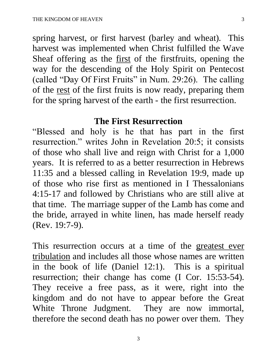spring harvest, or first harvest (barley and wheat). This harvest was implemented when Christ fulfilled the Wave Sheaf offering as the first of the first fruits, opening the way for the descending of the Holy Spirit on Pentecost (called "Day Of First Fruits" in Num. 29:26). The calling of the rest of the first fruits is now ready, preparing them for the spring harvest of the earth - the first resurrection.

# **The First Resurrection**

"Blessed and holy is he that has part in the first resurrection." writes John in Revelation 20:5; it consists of those who shall live and reign with Christ for a 1,000 years. It is referred to as a better resurrection in Hebrews 11:35 and a blessed calling in Revelation 19:9, made up of those who rise first as mentioned in I Thessalonians 4:15-17 and followed by Christians who are still alive at that time. The marriage supper of the Lamb has come and the bride, arrayed in white linen, has made herself ready (Rev. 19:7-9).

This resurrection occurs at a time of the greatest ever tribulation and includes all those whose names are written in the book of life (Daniel 12:1). This is a spiritual resurrection; their change has come (I Cor. 15:53-54). They receive a free pass, as it were, right into the kingdom and do not have to appear before the Great White Throne Judgment. They are now immortal, therefore the second death has no power over them. They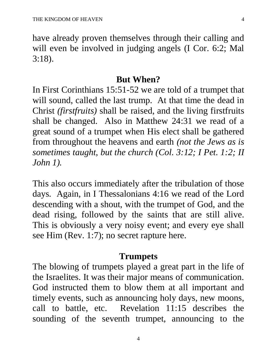have already proven themselves through their calling and will even be involved in judging angels (I Cor. 6:2; Mal 3:18).

#### **But When?**

In First Corinthians 15:51-52 we are told of a trumpet that will sound, called the last trump. At that time the dead in Christ *(firstfruits)* shall be raised, and the living firstfruits shall be changed. Also in Matthew 24:31 we read of a great sound of a trumpet when His elect shall be gathered from throughout the heavens and earth *(not the Jews as is sometimes taught, but the church (Col. 3:12; I Pet. 1:2; II John 1).*

This also occurs immediately after the tribulation of those days. Again, in I Thessalonians 4:16 we read of the Lord descending with a shout, with the trumpet of God, and the dead rising, followed by the saints that are still alive. This is obviously a very noisy event; and every eye shall see Him (Rev. 1:7); no secret rapture here.

#### **Trumpets**

The blowing of trumpets played a great part in the life of the Israelites. It was their major means of communication. God instructed them to blow them at all important and timely events, such as announcing holy days, new moons, call to battle, etc. Revelation 11:15 describes the sounding of the seventh trumpet, announcing to the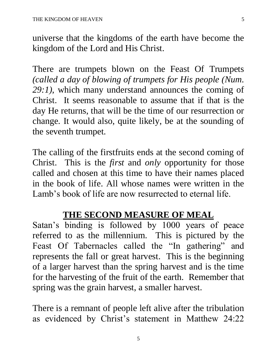universe that the kingdoms of the earth have become the kingdom of the Lord and His Christ.

There are trumpets blown on the Feast Of Trumpets *(called a day of blowing of trumpets for His people (Num. 29:1)*, which many understand announces the coming of Christ. It seems reasonable to assume that if that is the day He returns, that will be the time of our resurrection or change. It would also, quite likely, be at the sounding of the seventh trumpet.

The calling of the firstfruits ends at the second coming of Christ. This is the *first* and *only* opportunity for those called and chosen at this time to have their names placed in the book of life. All whose names were written in the Lamb's book of life are now resurrected to eternal life.

# **THE SECOND MEASURE OF MEAL**

Satan's binding is followed by 1000 years of peace referred to as the millennium. This is pictured by the Feast Of Tabernacles called the "In gathering" and represents the fall or great harvest. This is the beginning of a larger harvest than the spring harvest and is the time for the harvesting of the fruit of the earth. Remember that spring was the grain harvest, a smaller harvest.

There is a remnant of people left alive after the tribulation as evidenced by Christ's statement in Matthew 24:22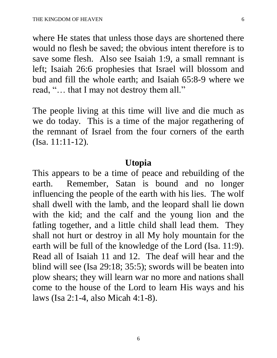where He states that unless those days are shortened there would no flesh be saved; the obvious intent therefore is to save some flesh. Also see Isaiah 1:9, a small remnant is left; Isaiah 26:6 prophesies that Israel will blossom and bud and fill the whole earth; and Isaiah 65:8-9 where we read, "… that I may not destroy them all."

The people living at this time will live and die much as we do today. This is a time of the major regathering of the remnant of Israel from the four corners of the earth (Isa. 11:11-12).

# **Utopia**

This appears to be a time of peace and rebuilding of the earth. Remember, Satan is bound and no longer influencing the people of the earth with his lies. The wolf shall dwell with the lamb, and the leopard shall lie down with the kid; and the calf and the young lion and the fatling together, and a little child shall lead them. They shall not hurt or destroy in all My holy mountain for the earth will be full of the knowledge of the Lord (Isa. 11:9). Read all of Isaiah 11 and 12. The deaf will hear and the blind will see (Isa 29:18; 35:5); swords will be beaten into plow shears; they will learn war no more and nations shall come to the house of the Lord to learn His ways and his laws (Isa 2:1-4, also Micah 4:1-8).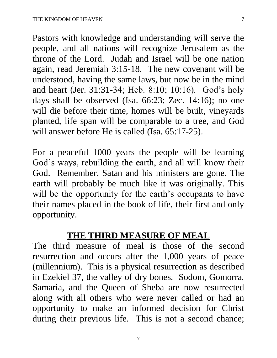Pastors with knowledge and understanding will serve the people, and all nations will recognize Jerusalem as the throne of the Lord. Judah and Israel will be one nation again, read Jeremiah 3:15-18. The new covenant will be understood, having the same laws, but now be in the mind and heart (Jer. 31:31-34; Heb. 8:10; 10:16). God's holy days shall be observed (Isa. 66:23; Zec. 14:16); no one will die before their time, homes will be built, vineyards planted, life span will be comparable to a tree, and God will answer before He is called (Isa. 65:17-25).

For a peaceful 1000 years the people will be learning God's ways, rebuilding the earth, and all will know their God. Remember, Satan and his ministers are gone. The earth will probably be much like it was originally. This will be the opportunity for the earth's occupants to have their names placed in the book of life, their first and only opportunity.

# **THE THIRD MEASURE OF MEAL**

The third measure of meal is those of the second resurrection and occurs after the 1,000 years of peace (millennium). This is a physical resurrection as described in Ezekiel 37, the valley of dry bones. Sodom, Gomorra, Samaria, and the Queen of Sheba are now resurrected along with all others who were never called or had an opportunity to make an informed decision for Christ during their previous life. This is not a second chance;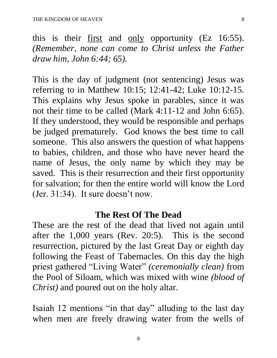this is their <u>first</u> and <u>only</u> opportunity (Ez 16:55). *(Remember, none can come to Christ unless the Father draw him, John 6:44; 65).* 

This is the day of judgment (not sentencing) Jesus was referring to in Matthew 10:15; 12:41-42; Luke 10:12-15. This explains why Jesus spoke in parables, since it was not their time to be called (Mark 4:11-12 and John 6:65). If they understood, they would be responsible and perhaps be judged prematurely. God knows the best time to call someone. This also answers the question of what happens to babies, children, and those who have never heard the name of Jesus, the only name by which they may be saved. This is their resurrection and their first opportunity for salvation; for then the entire world will know the Lord (Jer. 31:34). It sure doesn't now.

# **The Rest Of The Dead**

These are the rest of the dead that lived not again until after the 1,000 years (Rev. 20:5). This is the second resurrection, pictured by the last Great Day or eighth day following the Feast of Tabernacles. On this day the high priest gathered "Living Water" *(ceremonially clean)* from the Pool of Siloam, which was mixed with wine *(blood of Christ)* and poured out on the holy altar.

Isaiah 12 mentions "in that day" alluding to the last day when men are freely drawing water from the wells of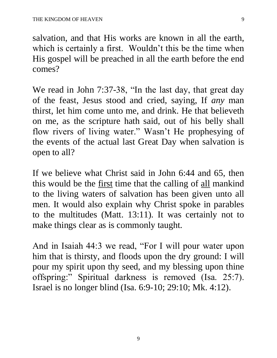salvation, and that His works are known in all the earth, which is certainly a first. Wouldn't this be the time when His gospel will be preached in all the earth before the end comes?

We read in John 7:37-38, "In the last day, that great day of the feast, Jesus stood and cried, saying, If *any* man thirst, let him come unto me, and drink. He that believeth on me, as the scripture hath said, out of his belly shall flow rivers of living water." Wasn't He prophesying of the events of the actual last Great Day when salvation is open to all?

If we believe what Christ said in John 6:44 and 65, then this would be the first time that the calling of all mankind to the living waters of salvation has been given unto all men. It would also explain why Christ spoke in parables to the multitudes (Matt. 13:11). It was certainly not to make things clear as is commonly taught.

And in Isaiah 44:3 we read, "For I will pour water upon him that is thirsty, and floods upon the dry ground: I will pour my spirit upon thy seed, and my blessing upon thine offspring:" Spiritual darkness is removed (Isa. 25:7). Israel is no longer blind (Isa. 6:9-10; 29:10; Mk. 4:12).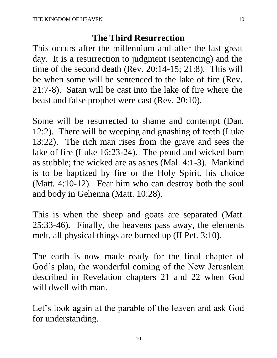# **The Third Resurrection**

This occurs after the millennium and after the last great day. It is a resurrection to judgment (sentencing) and the time of the second death (Rev. 20:14-15; 21:8). This will be when some will be sentenced to the lake of fire (Rev. 21:7-8). Satan will be cast into the lake of fire where the beast and false prophet were cast (Rev. 20:10).

Some will be resurrected to shame and contempt (Dan. 12:2). There will be weeping and gnashing of teeth (Luke 13:22). The rich man rises from the grave and sees the lake of fire (Luke 16:23-24). The proud and wicked burn as stubble; the wicked are as ashes (Mal. 4:1-3). Mankind is to be baptized by fire or the Holy Spirit, his choice (Matt. 4:10-12). Fear him who can destroy both the soul and body in Gehenna (Matt. 10:28).

This is when the sheep and goats are separated (Matt. 25:33-46). Finally, the heavens pass away, the elements melt, all physical things are burned up (II Pet. 3:10).

The earth is now made ready for the final chapter of God's plan, the wonderful coming of the New Jerusalem described in Revelation chapters 21 and 22 when God will dwell with man.

Let's look again at the parable of the leaven and ask God for understanding.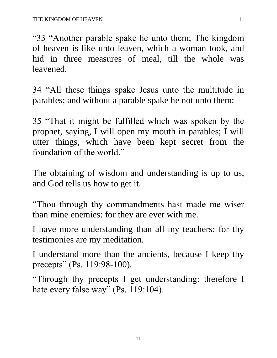"33 "Another parable spake he unto them; The kingdom of heaven is like unto leaven, which a woman took, and hid in three measures of meal, till the whole was leavened.

34 "All these things spake Jesus unto the multitude in parables; and without a parable spake he not unto them:

35 "That it might be fulfilled which was spoken by the prophet, saying, I will open my mouth in parables; I will utter things, which have been kept secret from the foundation of the world."

The obtaining of wisdom and understanding is up to us, and God tells us how to get it.

"Thou through thy commandments hast made me wiser than mine enemies: for they are ever with me.

I have more understanding than all my teachers: for thy testimonies are my meditation.

I understand more than the ancients, because I keep thy precepts" (Ps. 119:98-100).

"Through thy precepts I get understanding: therefore I hate every false way" (Ps. 119:104).